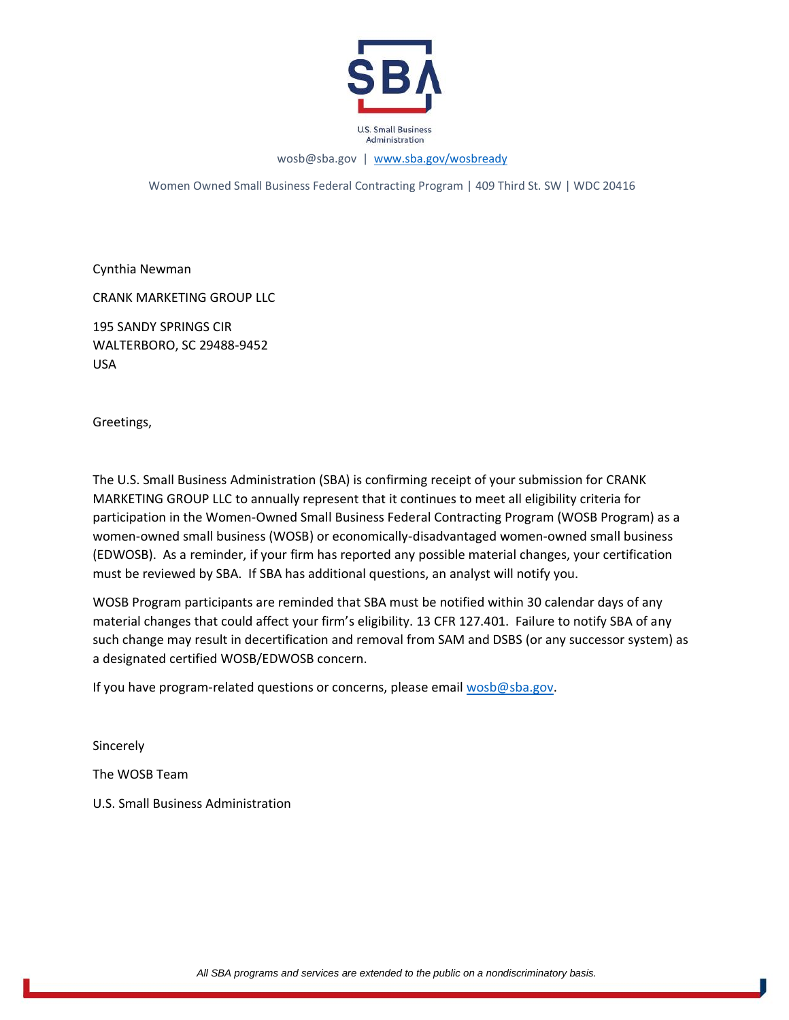

wosb@sba.gov | [www.sba.gov/wosbready](http://www.sba.gov/wosbready)

Women Owned Small Business Federal Contracting Program | 409 Third St. SW | WDC 20416

Cynthia Newman

CRANK MARKETING GROUP LLC

195 SANDY SPRINGS CIR WALTERBORO, SC 29488-9452 USA

Greetings,

The U.S. Small Business Administration (SBA) is confirming receipt of your submission for CRANK MARKETING GROUP LLC to annually represent that it continues to meet all eligibility criteria for participation in the Women-Owned Small Business Federal Contracting Program (WOSB Program) as a women-owned small business (WOSB) or economically-disadvantaged women-owned small business (EDWOSB). As a reminder, if your firm has reported any possible material changes, your certification must be reviewed by SBA. If SBA has additional questions, an analyst will notify you.

WOSB Program participants are reminded that SBA must be notified within 30 calendar days of any material changes that could affect your firm's eligibility. 13 CFR 127.401. Failure to notify SBA of any such change may result in decertification and removal from SAM and DSBS (or any successor system) as a designated certified WOSB/EDWOSB concern.

If you have program-related questions or concerns, please email [wosb@sba.gov.](mailto:wosb@sba.gov)

**Sincerely** The WOSB Team U.S. Small Business Administration

*All SBA programs and services are extended to the public on a nondiscriminatory basis.*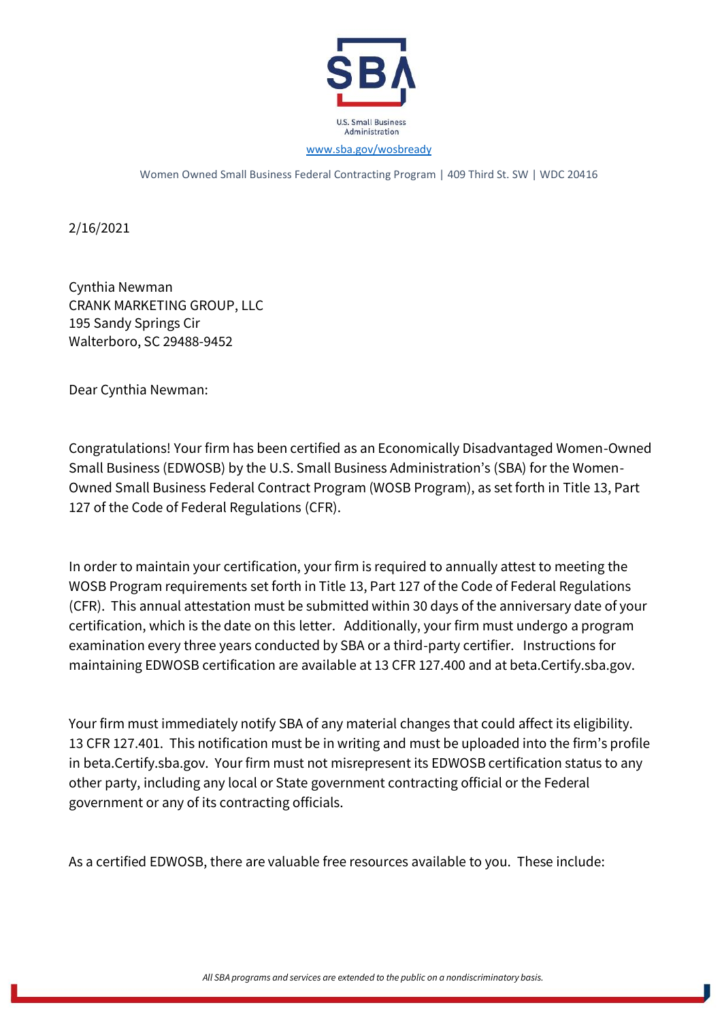

Women Owned Small Business Federal Contracting Program | 409 Third St. SW | WDC 20416

2/16/2021

Cynthia Newman CRANK MARKETING GROUP, LLC 195 Sandy Springs Cir Walterboro, SC 29488-9452

Dear Cynthia Newman:

Congratulations! Your firm has been certified as an Economically Disadvantaged Women-Owned Small Business (EDWOSB) by the U.S. Small Business Administration's (SBA) for the Women-Owned Small Business Federal Contract Program (WOSB Program), as set forth in [Title 13, Part](https://www.ecfr.gov/cgi-bin/text-idx?SID=5c38f281d83692288ae34329eeefd077&mc=true&node=sp13.1.127.b&rgn=div6)  [127 of the Code of Federal Regulations](https://www.ecfr.gov/cgi-bin/text-idx?SID=5c38f281d83692288ae34329eeefd077&mc=true&node=sp13.1.127.b&rgn=div6) (CFR).

In order to maintain your certification, your firm is required to annually attest to meeting the WOSB Program requirements set forth in Title 13, Part 127 of the Code of Federal Regulations (CFR). This annual attestation must be submitted within 30 days of the anniversary date of your certification, which is the date on this letter. Additionally, your firm must undergo a program examination every three years conducted by SBA or a third-party certifier. Instructions for maintaining EDWOSB certification are available at 13 CFR 127.400 and at beta.Certify.sba.gov.

Your firm must immediately notify SBA of any material changes that could affect its eligibility. 13 CFR 127.401. This notification must be in writing and must be uploaded into the firm's profile in beta.Certify.sba.gov. Your firm must not misrepresent its EDWOSB certification status to any other party, including any local or State government contracting official or the Federal government or any of its contracting officials.

As a certified EDWOSB, there are valuable free resources available to you. These include:

*All SBA programs and services are extended to the public on a nondiscriminatory basis.*